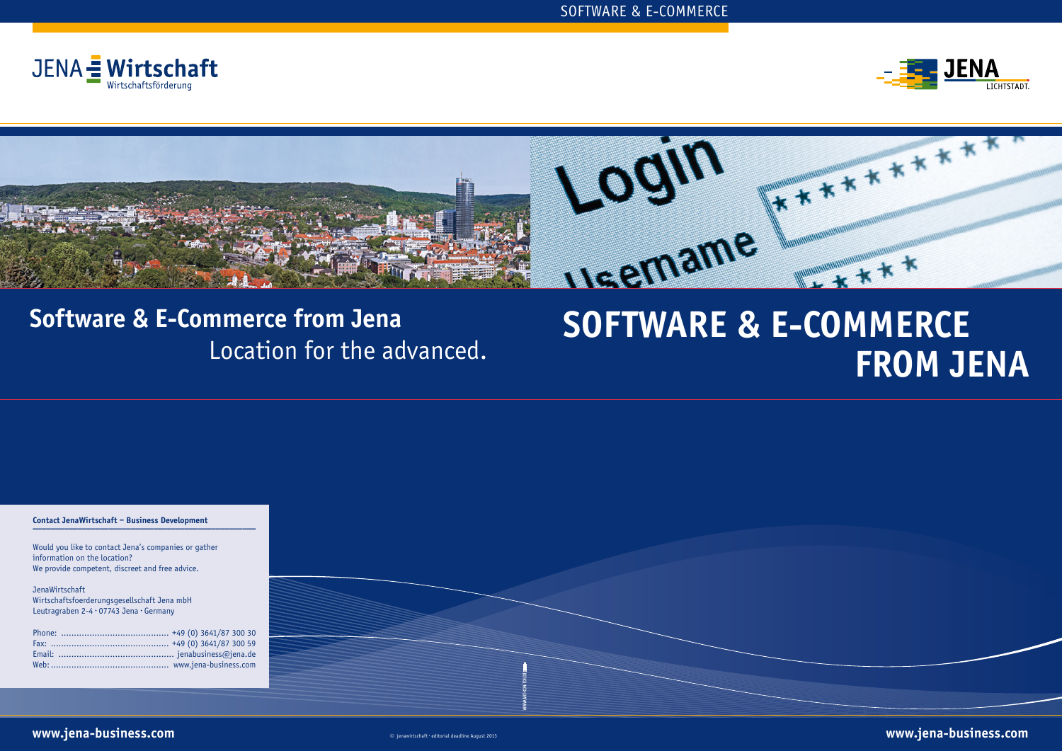

# **FROM JENA**

## **Software & E-Commerce from Jena** Location for the advanced.



| Contact JenaWirtschaft - Business Development                                          |  |  |
|----------------------------------------------------------------------------------------|--|--|
|                                                                                        |  |  |
| Would you like to contact Jena's companies or gather<br>information on the location?   |  |  |
| We provide competent, discreet and free advice.                                        |  |  |
| JenaWirtschaft                                                                         |  |  |
| Wirtschaftsfoerderungsgesellschaft Jena mbH<br>Leutragraben 2-4 · 07743 Jena · Germany |  |  |
|                                                                                        |  |  |
|                                                                                        |  |  |
|                                                                                        |  |  |
|                                                                                        |  |  |
|                                                                                        |  |  |
|                                                                                        |  |  |



**www.jena-business.com** ◎ jenawirtschaft · editorial deadline August 2013 **www.jena-business.com**